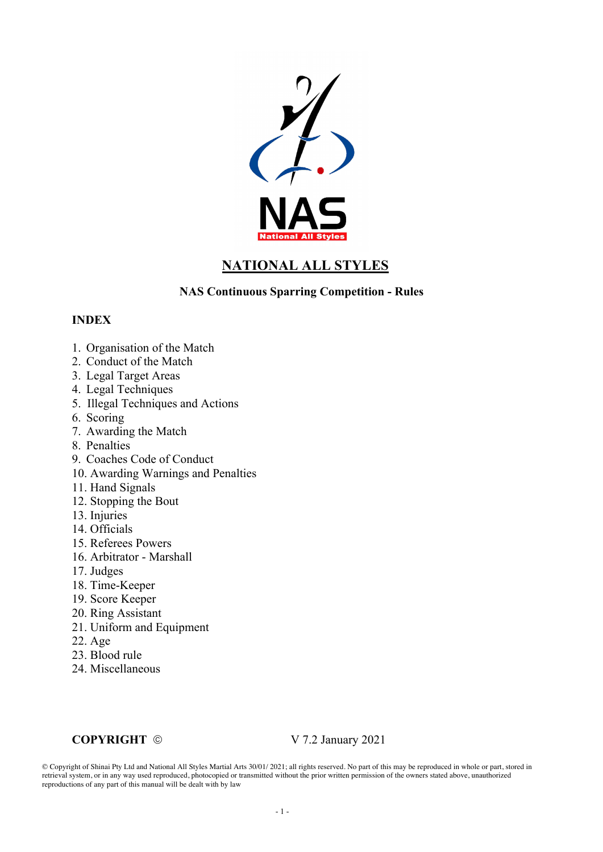

# **NATIONAL ALL STYLES**

#### **NAS Continuous Sparring Competition - Rules**

#### **INDEX**

- 1. Organisation of the Match
- 2. Conduct of the Match
- 3. Legal Target Areas
- 4. Legal Techniques
- 5. Illegal Techniques and Actions
- 6. Scoring
- 7. Awarding the Match
- 8. Penalties
- 9. Coaches Code of Conduct
- 10. Awarding Warnings and Penalties
- 11. Hand Signals
- 12. Stopping the Bout
- 13. Injuries
- 14. Officials
- 15. Referees Powers
- 16. Arbitrator Marshall
- 17. Judges
- 18. Time-Keeper
- 19. Score Keeper
- 20. Ring Assistant
- 21. Uniform and Equipment
- 22. Age
- 23. Blood rule
- 24. Miscellaneous

#### **COPYRIGHT** ©  $V$  7.2 January 2021

© Copyright of Shinai Pty Ltd and National All Styles Martial Arts 30/01/ 2021; all rights reserved. No part of this may be reproduced in whole or part, stored in retrieval system, or in any way used reproduced, photocopied or transmitted without the prior written permission of the owners stated above, unauthorized reproductions of any part of this manual will be dealt with by law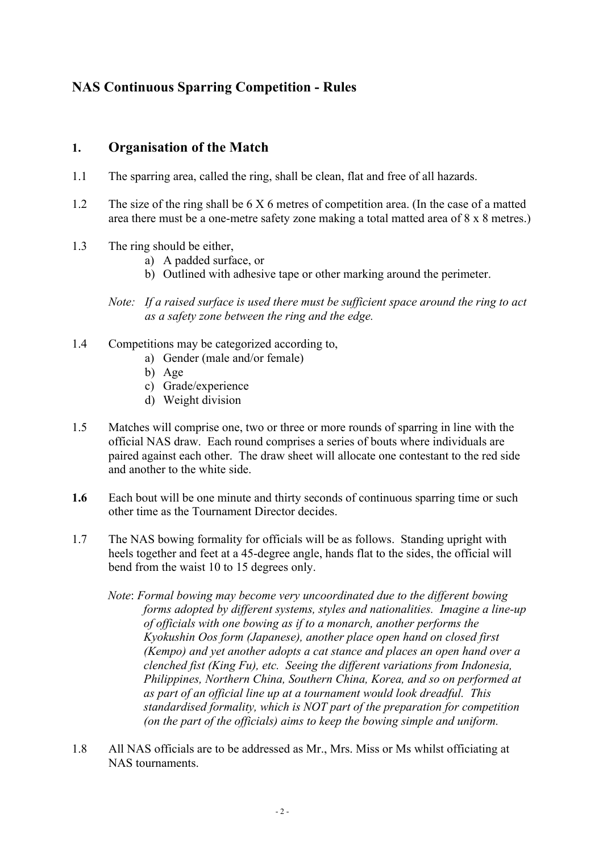# **NAS Continuous Sparring Competition - Rules**

#### **1. Organisation of the Match**

- 1.1 The sparring area, called the ring, shall be clean, flat and free of all hazards.
- 1.2 The size of the ring shall be 6 X 6 metres of competition area. (In the case of a matted area there must be a one-metre safety zone making a total matted area of 8 x 8 metres.)
- 1.3 The ring should be either,
	- a) A padded surface, or
	- b) Outlined with adhesive tape or other marking around the perimeter.
	- *Note: If a raised surface is used there must be sufficient space around the ring to act as a safety zone between the ring and the edge.*
- 1.4 Competitions may be categorized according to,
	- a) Gender (male and/or female)
	- b) Age
	- c) Grade/experience
	- d) Weight division
- 1.5 Matches will comprise one, two or three or more rounds of sparring in line with the official NAS draw. Each round comprises a series of bouts where individuals are paired against each other. The draw sheet will allocate one contestant to the red side and another to the white side.
- **1.6** Each bout will be one minute and thirty seconds of continuous sparring time or such other time as the Tournament Director decides.
- 1.7 The NAS bowing formality for officials will be as follows. Standing upright with heels together and feet at a 45-degree angle, hands flat to the sides, the official will bend from the waist 10 to 15 degrees only.
	- *Note*: *Formal bowing may become very uncoordinated due to the different bowing forms adopted by different systems, styles and nationalities. Imagine a line-up of officials with one bowing as if to a monarch, another performs the Kyokushin Oos form (Japanese), another place open hand on closed first (Kempo) and yet another adopts a cat stance and places an open hand over a clenched fist (King Fu), etc. Seeing the different variations from Indonesia, Philippines, Northern China, Southern China, Korea, and so on performed at as part of an official line up at a tournament would look dreadful. This standardised formality, which is NOT part of the preparation for competition (on the part of the officials) aims to keep the bowing simple and uniform.*
- 1.8 All NAS officials are to be addressed as Mr., Mrs. Miss or Ms whilst officiating at NAS tournaments.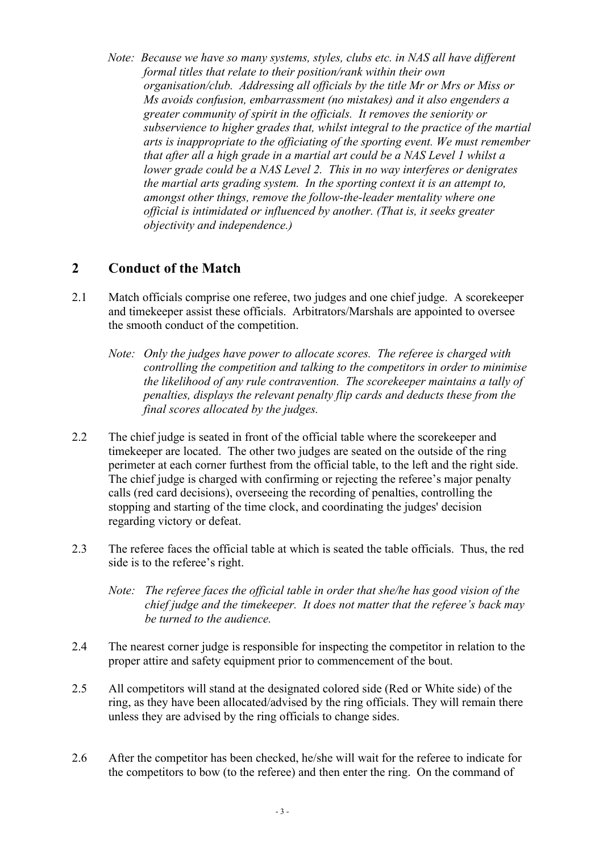*Note: Because we have so many systems, styles, clubs etc. in NAS all have different formal titles that relate to their position/rank within their own organisation/club. Addressing all officials by the title Mr or Mrs or Miss or Ms avoids confusion, embarrassment (no mistakes) and it also engenders a greater community of spirit in the officials. It removes the seniority or subservience to higher grades that, whilst integral to the practice of the martial arts is inappropriate to the officiating of the sporting event. We must remember that after all a high grade in a martial art could be a NAS Level 1 whilst a lower grade could be a NAS Level 2. This in no way interferes or denigrates the martial arts grading system. In the sporting context it is an attempt to, amongst other things, remove the follow-the-leader mentality where one official is intimidated or influenced by another. (That is, it seeks greater objectivity and independence.)*

## **2 Conduct of the Match**

- 2.1 Match officials comprise one referee, two judges and one chief judge. A scorekeeper and timekeeper assist these officials. Arbitrators/Marshals are appointed to oversee the smooth conduct of the competition.
	- *Note: Only the judges have power to allocate scores. The referee is charged with controlling the competition and talking to the competitors in order to minimise the likelihood of any rule contravention. The scorekeeper maintains a tally of penalties, displays the relevant penalty flip cards and deducts these from the final scores allocated by the judges.*
- 2.2 The chief judge is seated in front of the official table where the scorekeeper and timekeeper are located. The other two judges are seated on the outside of the ring perimeter at each corner furthest from the official table, to the left and the right side. The chief judge is charged with confirming or rejecting the referee's major penalty calls (red card decisions), overseeing the recording of penalties, controlling the stopping and starting of the time clock, and coordinating the judges' decision regarding victory or defeat.
- 2.3 The referee faces the official table at which is seated the table officials. Thus, the red side is to the referee's right.
	- *Note: The referee faces the official table in order that she/he has good vision of the chief judge and the timekeeper. It does not matter that the referee's back may be turned to the audience.*
- 2.4 The nearest corner judge is responsible for inspecting the competitor in relation to the proper attire and safety equipment prior to commencement of the bout.
- 2.5 All competitors will stand at the designated colored side (Red or White side) of the ring, as they have been allocated/advised by the ring officials. They will remain there unless they are advised by the ring officials to change sides.
- 2.6 After the competitor has been checked, he/she will wait for the referee to indicate for the competitors to bow (to the referee) and then enter the ring. On the command of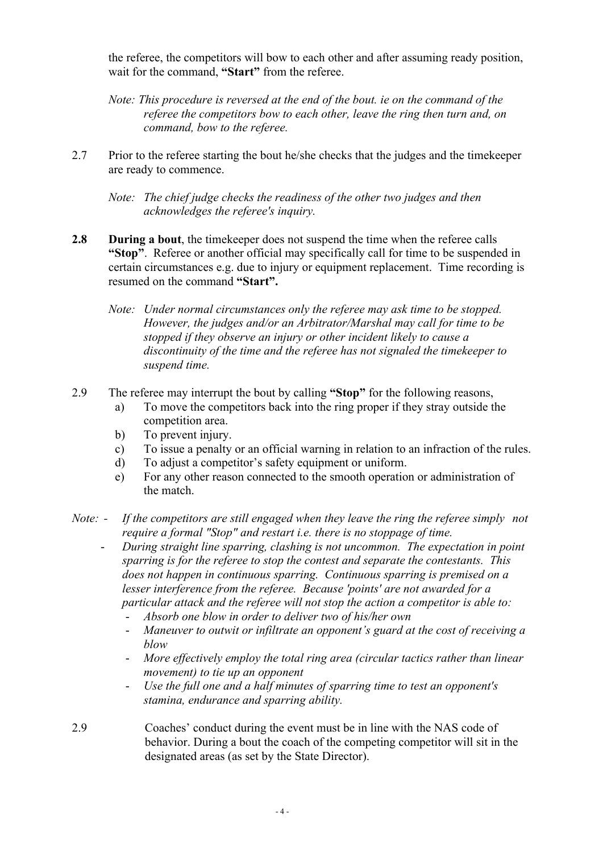the referee, the competitors will bow to each other and after assuming ready position, wait for the command, **"Start"** from the referee.

*Note: This procedure is reversed at the end of the bout. ie on the command of the referee the competitors bow to each other, leave the ring then turn and, on command, bow to the referee.*

2.7 Prior to the referee starting the bout he/she checks that the judges and the timekeeper are ready to commence.

*Note: The chief judge checks the readiness of the other two judges and then acknowledges the referee's inquiry.*

- **2.8 During a bout**, the timekeeper does not suspend the time when the referee calls **"Stop"**. Referee or another official may specifically call for time to be suspended in certain circumstances e.g. due to injury or equipment replacement. Time recording is resumed on the command **"Start".**
	- *Note: Under normal circumstances only the referee may ask time to be stopped. However, the judges and/or an Arbitrator/Marshal may call for time to be stopped if they observe an injury or other incident likely to cause a discontinuity of the time and the referee has not signaled the timekeeper to suspend time.*
- 2.9 The referee may interrupt the bout by calling **"Stop"** for the following reasons,
	- a) To move the competitors back into the ring proper if they stray outside the competition area.
	- b) To prevent injury.
	- c) To issue a penalty or an official warning in relation to an infraction of the rules.
	- d) To adjust a competitor's safety equipment or uniform.
	- e) For any other reason connected to the smooth operation or administration of the match.
- *Note: - If the competitors are still engaged when they leave the ring the referee simply not require a formal "Stop" and restart i.e. there is no stoppage of time.*
	- *During straight line sparring, clashing is not uncommon. The expectation in point sparring is for the referee to stop the contest and separate the contestants. This does not happen in continuous sparring. Continuous sparring is premised on a lesser interference from the referee. Because 'points' are not awarded for a particular attack and the referee will not stop the action a competitor is able to:*
		- *Absorb one blow in order to deliver two of his/her own*
		- *Maneuver to outwit or infiltrate an opponent's guard at the cost of receiving a blow*
		- *More effectively employ the total ring area (circular tactics rather than linear movement) to tie up an opponent*
		- *Use the full one and a half minutes of sparring time to test an opponent's stamina, endurance and sparring ability.*
- 2.9 Coaches' conduct during the event must be in line with the NAS code of behavior. During a bout the coach of the competing competitor will sit in the designated areas (as set by the State Director).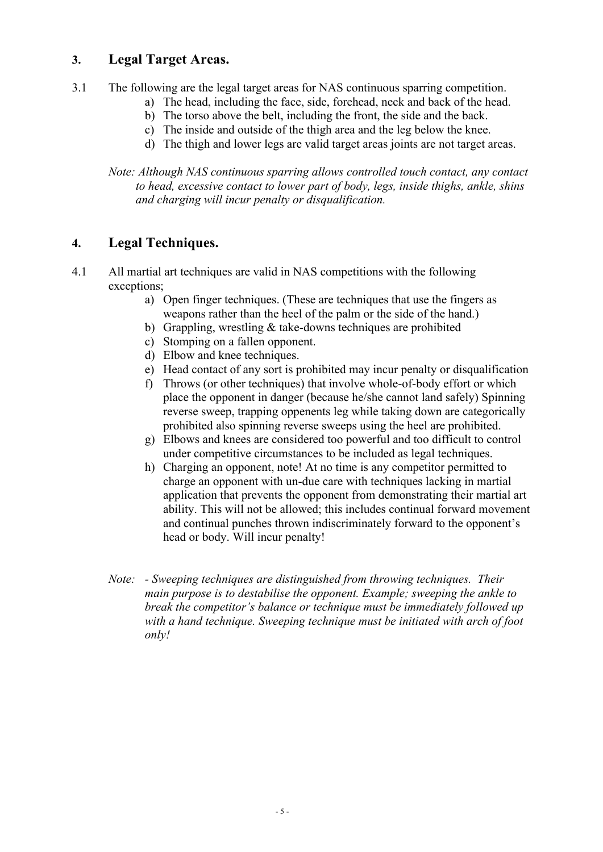## **3. Legal Target Areas.**

- 3.1 The following are the legal target areas for NAS continuous sparring competition.
	- a) The head, including the face, side, forehead, neck and back of the head.
	- b) The torso above the belt, including the front, the side and the back.
	- c) The inside and outside of the thigh area and the leg below the knee.
	- d) The thigh and lower legs are valid target areas joints are not target areas.

*Note: Although NAS continuous sparring allows controlled touch contact, any contact to head, excessive contact to lower part of body, legs, inside thighs, ankle, shins and charging will incur penalty or disqualification.* 

## **4. Legal Techniques.**

- 4.1 All martial art techniques are valid in NAS competitions with the following exceptions;
	- a) Open finger techniques. (These are techniques that use the fingers as weapons rather than the heel of the palm or the side of the hand.)
	- b) Grappling, wrestling & take-downs techniques are prohibited
	- c) Stomping on a fallen opponent.
	- d) Elbow and knee techniques.
	- e) Head contact of any sort is prohibited may incur penalty or disqualification
	- f) Throws (or other techniques) that involve whole-of-body effort or which place the opponent in danger (because he/she cannot land safely) Spinning reverse sweep, trapping oppenents leg while taking down are categorically prohibited also spinning reverse sweeps using the heel are prohibited.
	- g) Elbows and knees are considered too powerful and too difficult to control under competitive circumstances to be included as legal techniques.
	- h) Charging an opponent, note! At no time is any competitor permitted to charge an opponent with un-due care with techniques lacking in martial application that prevents the opponent from demonstrating their martial art ability. This will not be allowed; this includes continual forward movement and continual punches thrown indiscriminately forward to the opponent's head or body. Will incur penalty!
	- *Note: - Sweeping techniques are distinguished from throwing techniques. Their main purpose is to destabilise the opponent. Example; sweeping the ankle to break the competitor's balance or technique must be immediately followed up with a hand technique. Sweeping technique must be initiated with arch of foot only!*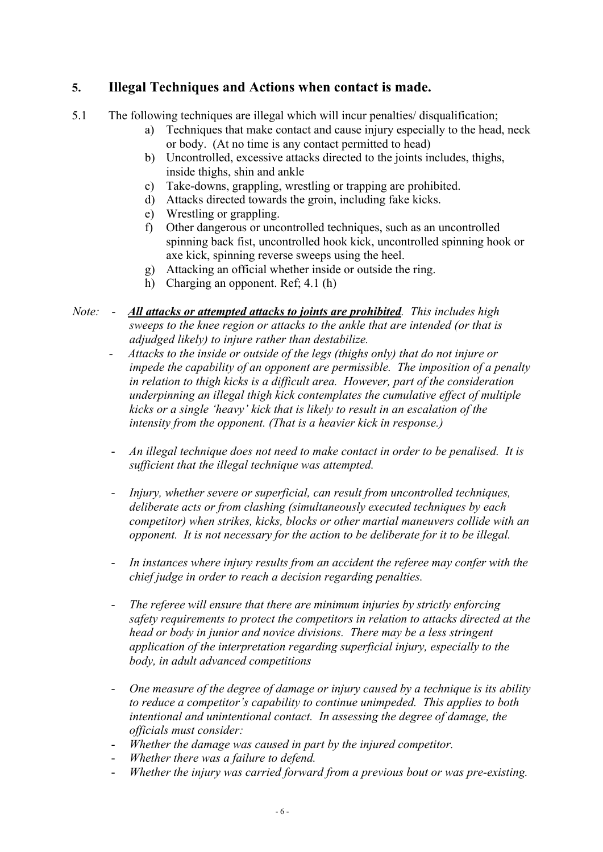## **5. Illegal Techniques and Actions when contact is made.**

- 5.1 The following techniques are illegal which will incur penalties/ disqualification;
	- a) Techniques that make contact and cause injury especially to the head, neck or body. (At no time is any contact permitted to head)
	- b) Uncontrolled, excessive attacks directed to the joints includes, thighs, inside thighs, shin and ankle
	- c) Take-downs, grappling, wrestling or trapping are prohibited.
	- d) Attacks directed towards the groin, including fake kicks.
	- e) Wrestling or grappling.
	- f) Other dangerous or uncontrolled techniques, such as an uncontrolled spinning back fist, uncontrolled hook kick, uncontrolled spinning hook or axe kick, spinning reverse sweeps using the heel.
	- g) Attacking an official whether inside or outside the ring.
	- h) Charging an opponent. Ref; 4.1 (h)
- *Note: All attacks or attempted attacks to joints are prohibited. This includes high sweeps to the knee region or attacks to the ankle that are intended (or that is adjudged likely) to injure rather than destabilize.*
	- *Attacks to the inside or outside of the legs (thighs only) that do not injure or impede the capability of an opponent are permissible. The imposition of a penalty in relation to thigh kicks is a difficult area. However, part of the consideration underpinning an illegal thigh kick contemplates the cumulative effect of multiple kicks or a single 'heavy' kick that is likely to result in an escalation of the intensity from the opponent. (That is a heavier kick in response.)*
	- *An illegal technique does not need to make contact in order to be penalised. It is sufficient that the illegal technique was attempted.*
	- *Injury, whether severe or superficial, can result from uncontrolled techniques, deliberate acts or from clashing (simultaneously executed techniques by each competitor) when strikes, kicks, blocks or other martial maneuvers collide with an opponent. It is not necessary for the action to be deliberate for it to be illegal.*
	- In instances where injury results from an accident the referee may confer with the *chief judge in order to reach a decision regarding penalties.*
	- *The referee will ensure that there are minimum injuries by strictly enforcing safety requirements to protect the competitors in relation to attacks directed at the head or body in junior and novice divisions. There may be a less stringent application of the interpretation regarding superficial injury, especially to the body, in adult advanced competitions*
	- *One measure of the degree of damage or injury caused by a technique is its ability to reduce a competitor's capability to continue unimpeded. This applies to both intentional and unintentional contact. In assessing the degree of damage, the officials must consider:*
	- *Whether the damage was caused in part by the injured competitor.*
	- *Whether there was a failure to defend.*
	- *Whether the injury was carried forward from a previous bout or was pre-existing.*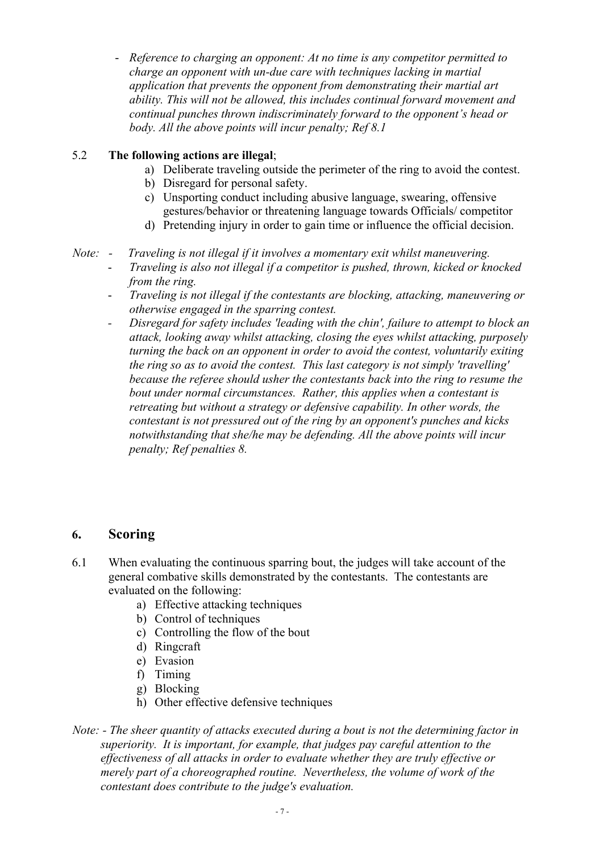- *Reference to charging an opponent: At no time is any competitor permitted to charge an opponent with un-due care with techniques lacking in martial application that prevents the opponent from demonstrating their martial art ability. This will not be allowed, this includes continual forward movement and continual punches thrown indiscriminately forward to the opponent's head or body. All the above points will incur penalty; Ref 8.1*

#### 5.2 **The following actions are illegal**;

- a) Deliberate traveling outside the perimeter of the ring to avoid the contest.
- b) Disregard for personal safety.
- c) Unsporting conduct including abusive language, swearing, offensive gestures/behavior or threatening language towards Officials/ competitor
- d) Pretending injury in order to gain time or influence the official decision.
- *Note: Traveling is not illegal if it involves a momentary exit whilst maneuvering.* 
	- *Traveling is also not illegal if a competitor is pushed, thrown, kicked or knocked from the ring.*
	- *Traveling is not illegal if the contestants are blocking, attacking, maneuvering or otherwise engaged in the sparring contest.*
	- *Disregard for safety includes 'leading with the chin', failure to attempt to block an attack, looking away whilst attacking, closing the eyes whilst attacking, purposely turning the back on an opponent in order to avoid the contest, voluntarily exiting the ring so as to avoid the contest. This last category is not simply 'travelling' because the referee should usher the contestants back into the ring to resume the bout under normal circumstances. Rather, this applies when a contestant is retreating but without a strategy or defensive capability. In other words, the contestant is not pressured out of the ring by an opponent's punches and kicks notwithstanding that she/he may be defending. All the above points will incur penalty; Ref penalties 8.*

#### **6. Scoring**

- 6.1 When evaluating the continuous sparring bout, the judges will take account of the general combative skills demonstrated by the contestants. The contestants are evaluated on the following:
	- a) Effective attacking techniques
	- b) Control of techniques
	- c) Controlling the flow of the bout
	- d) Ringcraft
	- e) Evasion
	- f) Timing
	- g) Blocking
	- h) Other effective defensive techniques
- *Note: - The sheer quantity of attacks executed during a bout is not the determining factor in superiority. It is important, for example, that judges pay careful attention to the effectiveness of all attacks in order to evaluate whether they are truly effective or merely part of a choreographed routine. Nevertheless, the volume of work of the contestant does contribute to the judge's evaluation.*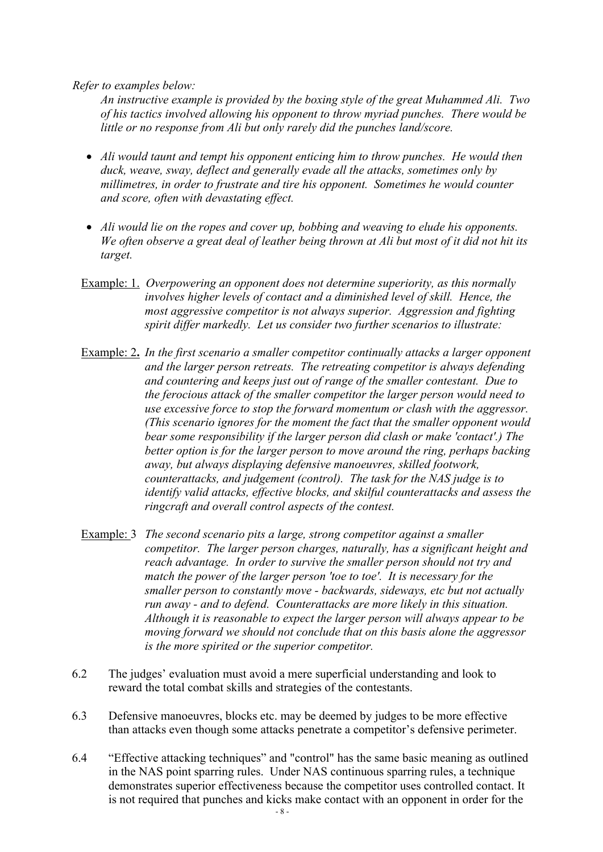*Refer to examples below:*

*An instructive example is provided by the boxing style of the great Muhammed Ali. Two of his tactics involved allowing his opponent to throw myriad punches. There would be little or no response from Ali but only rarely did the punches land/score.*

- *Ali would taunt and tempt his opponent enticing him to throw punches. He would then duck, weave, sway, deflect and generally evade all the attacks, sometimes only by millimetres, in order to frustrate and tire his opponent. Sometimes he would counter and score, often with devastating effect.*
- *Ali would lie on the ropes and cover up, bobbing and weaving to elude his opponents. We often observe a great deal of leather being thrown at Ali but most of it did not hit its target.*
- Example: 1. *Overpowering an opponent does not determine superiority, as this normally involves higher levels of contact and a diminished level of skill. Hence, the most aggressive competitor is not always superior. Aggression and fighting spirit differ markedly. Let us consider two further scenarios to illustrate:*
- Example: 2**.** *In the first scenario a smaller competitor continually attacks a larger opponent and the larger person retreats. The retreating competitor is always defending and countering and keeps just out of range of the smaller contestant. Due to the ferocious attack of the smaller competitor the larger person would need to use excessive force to stop the forward momentum or clash with the aggressor. (This scenario ignores for the moment the fact that the smaller opponent would bear some responsibility if the larger person did clash or make 'contact'.) The better option is for the larger person to move around the ring, perhaps backing away, but always displaying defensive manoeuvres, skilled footwork, counterattacks, and judgement (control). The task for the NAS judge is to identify valid attacks, effective blocks, and skilful counterattacks and assess the ringcraft and overall control aspects of the contest.*
- Example: 3 *The second scenario pits a large, strong competitor against a smaller competitor. The larger person charges, naturally, has a significant height and reach advantage. In order to survive the smaller person should not try and match the power of the larger person 'toe to toe'. It is necessary for the smaller person to constantly move - backwards, sideways, etc but not actually run away - and to defend. Counterattacks are more likely in this situation. Although it is reasonable to expect the larger person will always appear to be moving forward we should not conclude that on this basis alone the aggressor is the more spirited or the superior competitor.*
- 6.2 The judges' evaluation must avoid a mere superficial understanding and look to reward the total combat skills and strategies of the contestants.
- 6.3 Defensive manoeuvres, blocks etc. may be deemed by judges to be more effective than attacks even though some attacks penetrate a competitor's defensive perimeter.
- 6.4 "Effective attacking techniques" and "control" has the same basic meaning as outlined in the NAS point sparring rules. Under NAS continuous sparring rules, a technique demonstrates superior effectiveness because the competitor uses controlled contact. It is not required that punches and kicks make contact with an opponent in order for the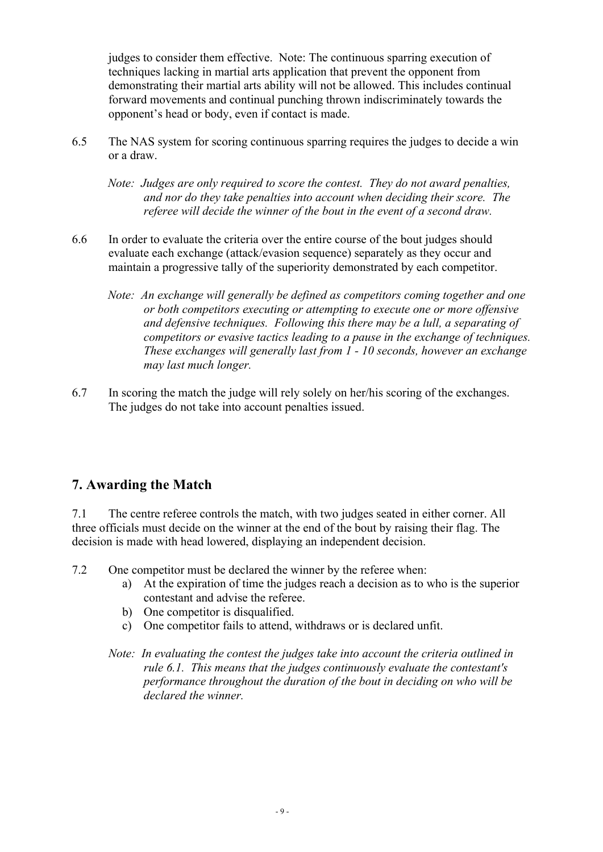judges to consider them effective. Note: The continuous sparring execution of techniques lacking in martial arts application that prevent the opponent from demonstrating their martial arts ability will not be allowed. This includes continual forward movements and continual punching thrown indiscriminately towards the opponent's head or body, even if contact is made.

6.5 The NAS system for scoring continuous sparring requires the judges to decide a win or a draw.

*Note: Judges are only required to score the contest. They do not award penalties, and nor do they take penalties into account when deciding their score. The referee will decide the winner of the bout in the event of a second draw.*

- 6.6 In order to evaluate the criteria over the entire course of the bout judges should evaluate each exchange (attack/evasion sequence) separately as they occur and maintain a progressive tally of the superiority demonstrated by each competitor.
	- *Note: An exchange will generally be defined as competitors coming together and one or both competitors executing or attempting to execute one or more offensive and defensive techniques. Following this there may be a lull, a separating of competitors or evasive tactics leading to a pause in the exchange of techniques. These exchanges will generally last from 1 - 10 seconds, however an exchange may last much longer.*
- 6.7 In scoring the match the judge will rely solely on her/his scoring of the exchanges. The judges do not take into account penalties issued.

#### **7. Awarding the Match**

7.1 The centre referee controls the match, with two judges seated in either corner. All three officials must decide on the winner at the end of the bout by raising their flag. The decision is made with head lowered, displaying an independent decision.

- 7.2 One competitor must be declared the winner by the referee when:
	- a) At the expiration of time the judges reach a decision as to who is the superior contestant and advise the referee.
	- b) One competitor is disqualified.
	- c) One competitor fails to attend, withdraws or is declared unfit.
	- *Note: In evaluating the contest the judges take into account the criteria outlined in rule 6.1. This means that the judges continuously evaluate the contestant's performance throughout the duration of the bout in deciding on who will be declared the winner.*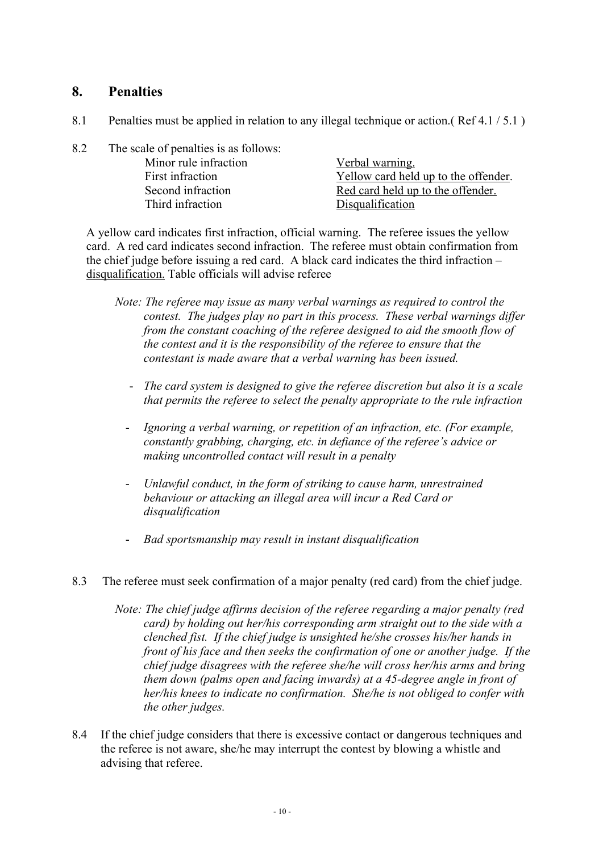#### **8. Penalties**

- 8.1 Penalties must be applied in relation to any illegal technique or action.( Ref 4.1 / 5.1 )
- 8.2 The scale of penalties is as follows: Minor rule infraction Verbal warning. First infraction  $Y$ ellow card held up to the offender. Second infraction Red card held up to the offender. Third infraction Disqualification

A yellow card indicates first infraction, official warning. The referee issues the yellow card. A red card indicates second infraction. The referee must obtain confirmation from the chief judge before issuing a red card. A black card indicates the third infraction – disqualification. Table officials will advise referee

- *Note: The referee may issue as many verbal warnings as required to control the contest. The judges play no part in this process. These verbal warnings differ from the constant coaching of the referee designed to aid the smooth flow of the contest and it is the responsibility of the referee to ensure that the contestant is made aware that a verbal warning has been issued.*
	- *The card system is designed to give the referee discretion but also it is a scale that permits the referee to select the penalty appropriate to the rule infraction*
	- *Ignoring a verbal warning, or repetition of an infraction, etc. (For example, constantly grabbing, charging, etc. in defiance of the referee's advice or making uncontrolled contact will result in a penalty*
	- *Unlawful conduct, in the form of striking to cause harm, unrestrained behaviour or attacking an illegal area will incur a Red Card or disqualification*
	- *Bad sportsmanship may result in instant disqualification*
- 8.3 The referee must seek confirmation of a major penalty (red card) from the chief judge.
	- *Note: The chief judge affirms decision of the referee regarding a major penalty (red card) by holding out her/his corresponding arm straight out to the side with a clenched fist. If the chief judge is unsighted he/she crosses his/her hands in front of his face and then seeks the confirmation of one or another judge. If the chief judge disagrees with the referee she/he will cross her/his arms and bring them down (palms open and facing inwards) at a 45-degree angle in front of her/his knees to indicate no confirmation. She/he is not obliged to confer with the other judges.*
- 8.4 If the chief judge considers that there is excessive contact or dangerous techniques and the referee is not aware, she/he may interrupt the contest by blowing a whistle and advising that referee.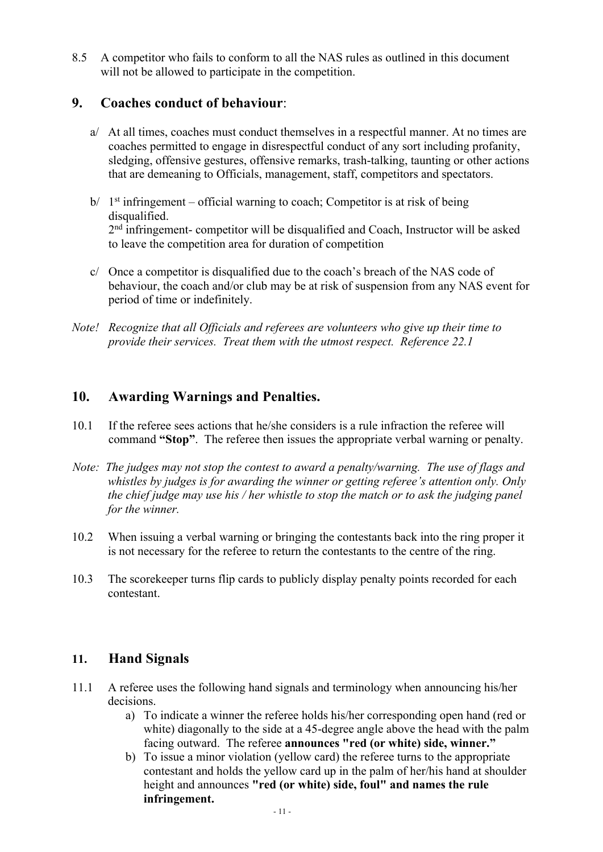8.5 A competitor who fails to conform to all the NAS rules as outlined in this document will not be allowed to participate in the competition.

### **9. Coaches conduct of behaviour**:

- a/ At all times, coaches must conduct themselves in a respectful manner. At no times are coaches permitted to engage in disrespectful conduct of any sort including profanity, sledging, offensive gestures, offensive remarks, trash-talking, taunting or other actions that are demeaning to Officials, management, staff, competitors and spectators.
- $b/ 1$ <sup>st</sup> infringement official warning to coach; Competitor is at risk of being disqualified. 2<sup>nd</sup> infringement- competitor will be disqualified and Coach, Instructor will be asked to leave the competition area for duration of competition
- c/ Once a competitor is disqualified due to the coach's breach of the NAS code of behaviour, the coach and/or club may be at risk of suspension from any NAS event for period of time or indefinitely.
- *Note! Recognize that all Officials and referees are volunteers who give up their time to provide their services. Treat them with the utmost respect. Reference 22.1*

## **10. Awarding Warnings and Penalties.**

- 10.1 If the referee sees actions that he/she considers is a rule infraction the referee will command **"Stop"**. The referee then issues the appropriate verbal warning or penalty.
- *Note: The judges may not stop the contest to award a penalty/warning. The use of flags and whistles by judges is for awarding the winner or getting referee's attention only. Only the chief judge may use his / her whistle to stop the match or to ask the judging panel for the winner.*
- 10.2 When issuing a verbal warning or bringing the contestants back into the ring proper it is not necessary for the referee to return the contestants to the centre of the ring.
- 10.3 The scorekeeper turns flip cards to publicly display penalty points recorded for each contestant.

## **11. Hand Signals**

- 11.1 A referee uses the following hand signals and terminology when announcing his/her decisions.
	- a) To indicate a winner the referee holds his/her corresponding open hand (red or white) diagonally to the side at a 45-degree angle above the head with the palm facing outward. The referee **announces "red (or white) side, winner."**
	- b) To issue a minor violation (yellow card) the referee turns to the appropriate contestant and holds the yellow card up in the palm of her/his hand at shoulder height and announces **"red (or white) side, foul" and names the rule infringement.**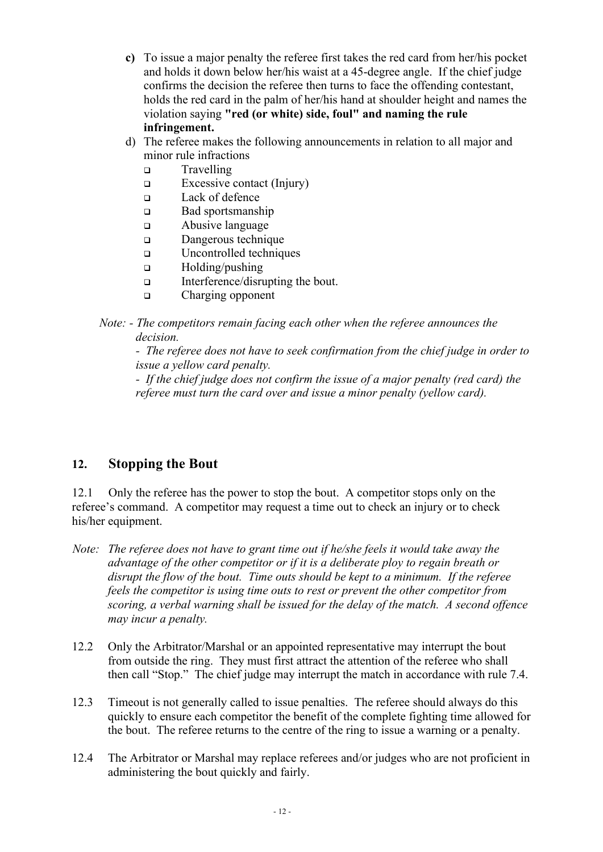- **c)** To issue a major penalty the referee first takes the red card from her/his pocket and holds it down below her/his waist at a 45-degree angle. If the chief judge confirms the decision the referee then turns to face the offending contestant, holds the red card in the palm of her/his hand at shoulder height and names the violation saying **"red (or white) side, foul" and naming the rule infringement.**
- d) The referee makes the following announcements in relation to all major and minor rule infractions
	- <sup>q</sup> Travelling
	- $\Box$  Excessive contact (Injury)
	- <sup>q</sup> Lack of defence
	- **q** Bad sportsmanship
	- <sup>q</sup> Abusive language
	- Dangerous technique
	- q Uncontrolled techniques
	- <sup>q</sup> Holding/pushing
	- Interference/disrupting the bout.
	- q Charging opponent
- *Note: - The competitors remain facing each other when the referee announces the decision.*

*- The referee does not have to seek confirmation from the chief judge in order to issue a yellow card penalty.*

*- If the chief judge does not confirm the issue of a major penalty (red card) the referee must turn the card over and issue a minor penalty (yellow card).*

## **12. Stopping the Bout**

12.1 Only the referee has the power to stop the bout. A competitor stops only on the referee's command. A competitor may request a time out to check an injury or to check his/her equipment.

- *Note: The referee does not have to grant time out if he/she feels it would take away the advantage of the other competitor or if it is a deliberate ploy to regain breath or disrupt the flow of the bout. Time outs should be kept to a minimum. If the referee feels the competitor is using time outs to rest or prevent the other competitor from scoring, a verbal warning shall be issued for the delay of the match. A second offence may incur a penalty.*
- 12.2 Only the Arbitrator/Marshal or an appointed representative may interrupt the bout from outside the ring. They must first attract the attention of the referee who shall then call "Stop." The chief judge may interrupt the match in accordance with rule 7.4.
- 12.3 Timeout is not generally called to issue penalties. The referee should always do this quickly to ensure each competitor the benefit of the complete fighting time allowed for the bout. The referee returns to the centre of the ring to issue a warning or a penalty.
- 12.4 The Arbitrator or Marshal may replace referees and/or judges who are not proficient in administering the bout quickly and fairly.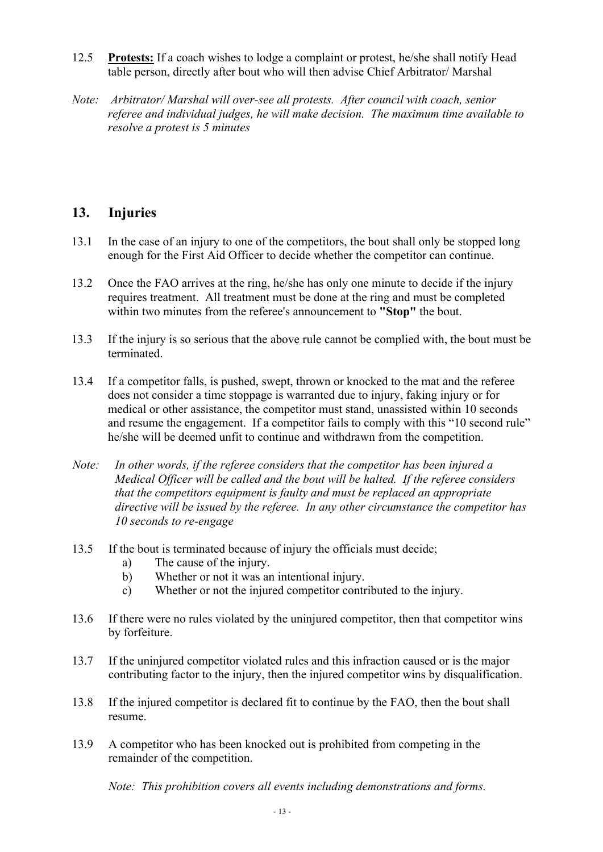- 12.5 **Protests:** If a coach wishes to lodge a complaint or protest, he/she shall notify Head table person, directly after bout who will then advise Chief Arbitrator/ Marshal
- *Note: Arbitrator/ Marshal will over-see all protests. After council with coach, senior referee and individual judges, he will make decision. The maximum time available to resolve a protest is 5 minutes*

## **13. Injuries**

- 13.1 In the case of an injury to one of the competitors, the bout shall only be stopped long enough for the First Aid Officer to decide whether the competitor can continue.
- 13.2 Once the FAO arrives at the ring, he/she has only one minute to decide if the injury requires treatment. All treatment must be done at the ring and must be completed within two minutes from the referee's announcement to **"Stop"** the bout.
- 13.3 If the injury is so serious that the above rule cannot be complied with, the bout must be terminated.
- 13.4 If a competitor falls, is pushed, swept, thrown or knocked to the mat and the referee does not consider a time stoppage is warranted due to injury, faking injury or for medical or other assistance, the competitor must stand, unassisted within 10 seconds and resume the engagement. If a competitor fails to comply with this "10 second rule" he/she will be deemed unfit to continue and withdrawn from the competition.
- *Note: In other words, if the referee considers that the competitor has been injured a Medical Officer will be called and the bout will be halted. If the referee considers that the competitors equipment is faulty and must be replaced an appropriate directive will be issued by the referee. In any other circumstance the competitor has 10 seconds to re-engage*
- 13.5 If the bout is terminated because of injury the officials must decide;
	- a) The cause of the injury.
	- b) Whether or not it was an intentional injury.
	- c) Whether or not the injured competitor contributed to the injury.
- 13.6 If there were no rules violated by the uninjured competitor, then that competitor wins by forfeiture.
- 13.7 If the uninjured competitor violated rules and this infraction caused or is the major contributing factor to the injury, then the injured competitor wins by disqualification.
- 13.8 If the injured competitor is declared fit to continue by the FAO, then the bout shall resume.
- 13.9 A competitor who has been knocked out is prohibited from competing in the remainder of the competition.

*Note: This prohibition covers all events including demonstrations and forms.*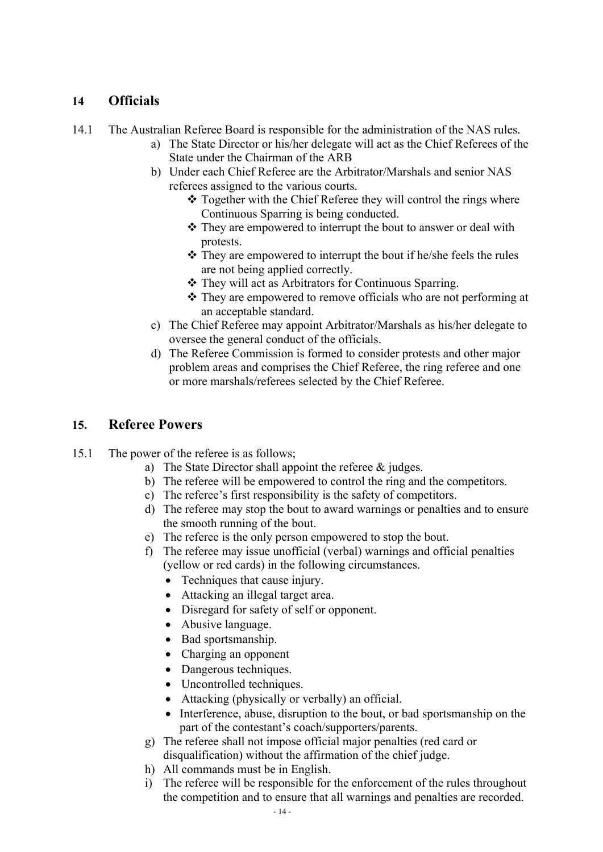## **14 Officials**

14.1 The Australian Referee Board is responsible for the administration of the NAS rules.

- a) The State Director or his/her delegate will act as the Chief Referees of the State under the Chairman of the ARB
- b) Under each Chief Referee are the Arbitrator/Marshals and senior NAS referees assigned to the various courts.
	- $\triangle$  Together with the Chief Referee they will control the rings where Continuous Sparring is being conducted.
	- $\triangle$  They are empowered to interrupt the bout to answer or deal with protests.
	- $\triangle$  They are empowered to interrupt the bout if he/she feels the rules are not being applied correctly.
	- \* They will act as Arbitrators for Continuous Sparring.
	- $\triangle$  They are empowered to remove officials who are not performing at an acceptable standard.
- c) The Chief Referee may appoint Arbitrator/Marshals as his/her delegate to oversee the general conduct of the officials.
- d) The Referee Commission is formed to consider protests and other major problem areas and comprises the Chief Referee, the ring referee and one or more marshals/referees selected by the Chief Referee.

#### **15. Referee Powers**

- 15.1 The power of the referee is as follows;
	- a) The State Director shall appoint the referee & judges.
	- b) The referee will be empowered to control the ring and the competitors.
	- c) The referee's first responsibility is the safety of competitors.
	- d) The referee may stop the bout to award warnings or penalties and to ensure the smooth running of the bout.
	- e) The referee is the only person empowered to stop the bout.
	- f) The referee may issue unofficial (verbal) warnings and official penalties (yellow or red cards) in the following circumstances.
		- Techniques that cause injury.
		- Attacking an illegal target area.
		- Disregard for safety of self or opponent.
		- Abusive language.
		- Bad sportsmanship.
		- Charging an opponent
		- Dangerous techniques.
		- Uncontrolled techniques.
		- Attacking (physically or verbally) an official.
		- Interference, abuse, disruption to the bout, or bad sportsmanship on the part of the contestant's coach/supporters/parents.
	- g) The referee shall not impose official major penalties (red card or disqualification) without the affirmation of the chief judge.
	- h) All commands must be in English.
	- i) The referee will be responsible for the enforcement of the rules throughout the competition and to ensure that all warnings and penalties are recorded.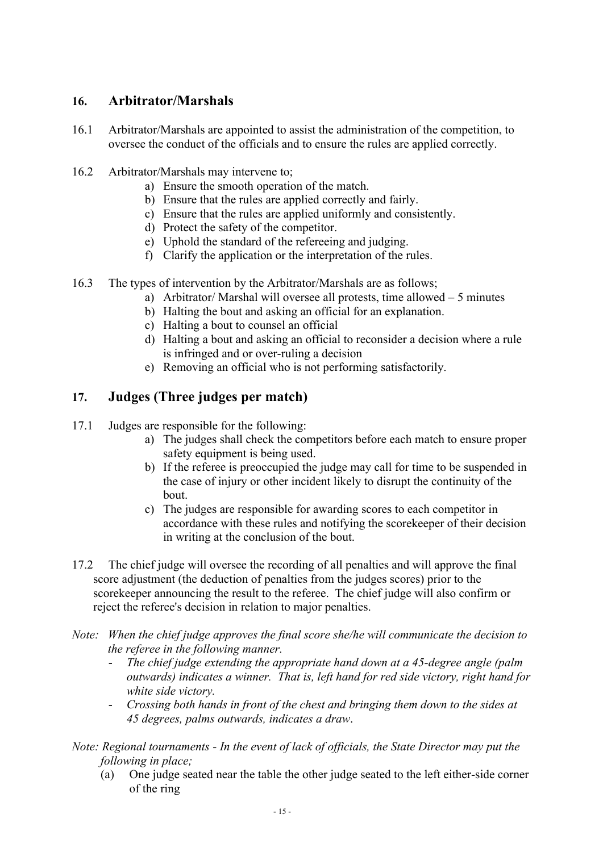## **16. Arbitrator/Marshals**

- 16.1 Arbitrator/Marshals are appointed to assist the administration of the competition, to oversee the conduct of the officials and to ensure the rules are applied correctly.
- 16.2 Arbitrator/Marshals may intervene to;
	- a) Ensure the smooth operation of the match.
	- b) Ensure that the rules are applied correctly and fairly.
	- c) Ensure that the rules are applied uniformly and consistently.
	- d) Protect the safety of the competitor.
	- e) Uphold the standard of the refereeing and judging.
	- f) Clarify the application or the interpretation of the rules.
- 16.3 The types of intervention by the Arbitrator/Marshals are as follows;
	- a) Arbitrator/ Marshal will oversee all protests, time allowed 5 minutes
	- b) Halting the bout and asking an official for an explanation.
	- c) Halting a bout to counsel an official
	- d) Halting a bout and asking an official to reconsider a decision where a rule is infringed and or over-ruling a decision
	- e) Removing an official who is not performing satisfactorily.

## **17. Judges (Three judges per match)**

- 17.1 Judges are responsible for the following:
	- a) The judges shall check the competitors before each match to ensure proper safety equipment is being used.
	- b) If the referee is preoccupied the judge may call for time to be suspended in the case of injury or other incident likely to disrupt the continuity of the bout.
	- c) The judges are responsible for awarding scores to each competitor in accordance with these rules and notifying the scorekeeper of their decision in writing at the conclusion of the bout.
- 17.2 The chief judge will oversee the recording of all penalties and will approve the final score adjustment (the deduction of penalties from the judges scores) prior to the scorekeeper announcing the result to the referee. The chief judge will also confirm or reject the referee's decision in relation to major penalties.
- *Note: When the chief judge approves the final score she/he will communicate the decision to the referee in the following manner.* 
	- The chief judge extending the appropriate hand down at a 45-degree angle (palm *outwards) indicates a winner. That is, left hand for red side victory, right hand for white side victory.*
	- *Crossing both hands in front of the chest and bringing them down to the sides at 45 degrees, palms outwards, indicates a draw*.

*Note: Regional tournaments - In the event of lack of officials, the State Director may put the following in place;*

(a) One judge seated near the table the other judge seated to the left either-side corner of the ring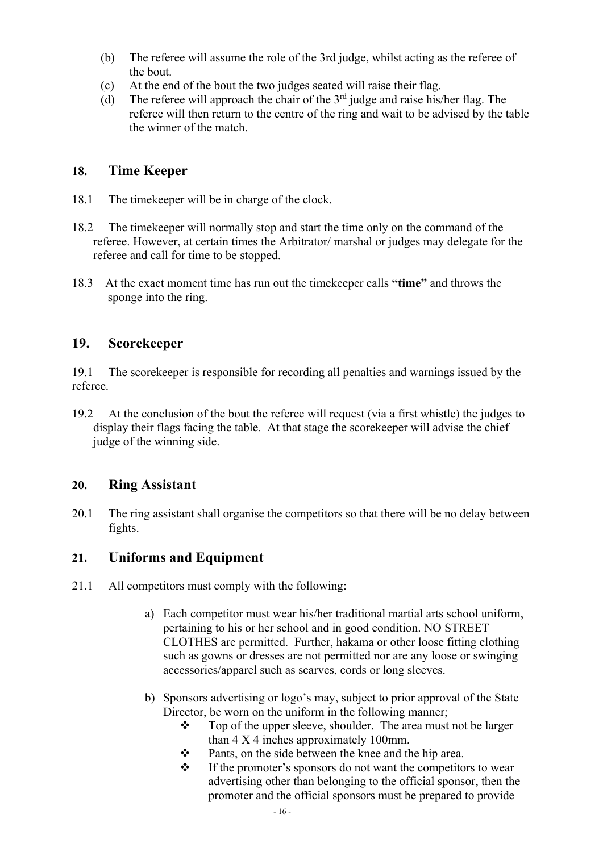- (b) The referee will assume the role of the 3rd judge, whilst acting as the referee of the bout.
- (c) At the end of the bout the two judges seated will raise their flag.
- (d) The referee will approach the chair of the  $3<sup>rd</sup>$  judge and raise his/her flag. The referee will then return to the centre of the ring and wait to be advised by the table the winner of the match.

#### **18. Time Keeper**

- 18.1 The timekeeper will be in charge of the clock.
- 18.2 The timekeeper will normally stop and start the time only on the command of the referee. However, at certain times the Arbitrator/ marshal or judges may delegate for the referee and call for time to be stopped.
- 18.3 At the exact moment time has run out the timekeeper calls **"time"** and throws the sponge into the ring.

## **19. Scorekeeper**

19.1 The scorekeeper is responsible for recording all penalties and warnings issued by the referee.

19.2 At the conclusion of the bout the referee will request (via a first whistle) the judges to display their flags facing the table. At that stage the scorekeeper will advise the chief judge of the winning side.

## **20. Ring Assistant**

20.1 The ring assistant shall organise the competitors so that there will be no delay between fights.

## **21. Uniforms and Equipment**

- 21.1 All competitors must comply with the following:
	- a) Each competitor must wear his/her traditional martial arts school uniform, pertaining to his or her school and in good condition. NO STREET CLOTHES are permitted. Further, hakama or other loose fitting clothing such as gowns or dresses are not permitted nor are any loose or swinging accessories/apparel such as scarves, cords or long sleeves.
	- b) Sponsors advertising or logo's may, subject to prior approval of the State Director, be worn on the uniform in the following manner;
		- $\cdot \cdot$  Top of the upper sleeve, shoulder. The area must not be larger than 4 X 4 inches approximately 100mm.
		- $\mathbf{\hat{P}}$  Pants, on the side between the knee and the hip area.
		- $\mathbf{\hat{P}}$  If the promoter's sponsors do not want the competitors to wear advertising other than belonging to the official sponsor, then the promoter and the official sponsors must be prepared to provide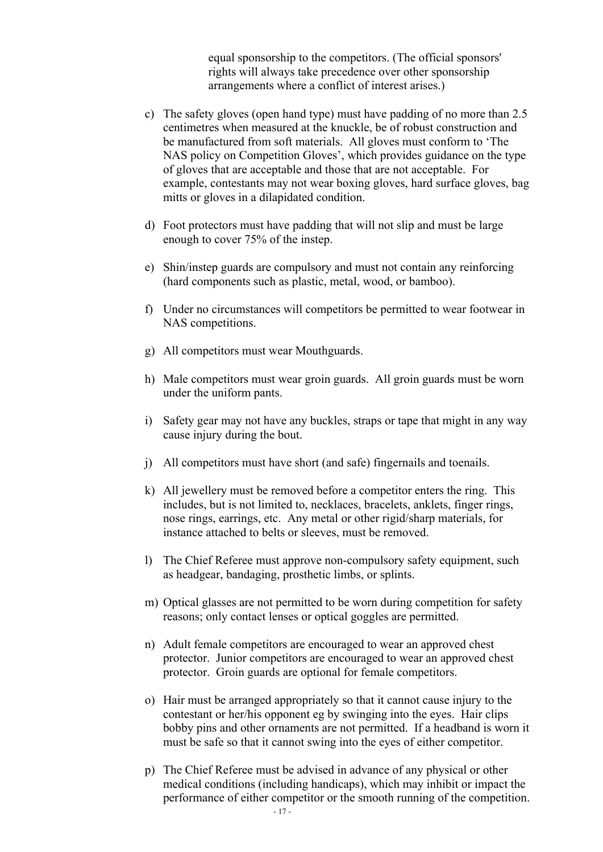equal sponsorship to the competitors. (The official sponsors' rights will always take precedence over other sponsorship arrangements where a conflict of interest arises.)

- c) The safety gloves (open hand type) must have padding of no more than 2.5 centimetres when measured at the knuckle, be of robust construction and be manufactured from soft materials. All gloves must conform to 'The NAS policy on Competition Gloves', which provides guidance on the type of gloves that are acceptable and those that are not acceptable. For example, contestants may not wear boxing gloves, hard surface gloves, bag mitts or gloves in a dilapidated condition.
- d) Foot protectors must have padding that will not slip and must be large enough to cover 75% of the instep.
- e) Shin/instep guards are compulsory and must not contain any reinforcing (hard components such as plastic, metal, wood, or bamboo).
- f) Under no circumstances will competitors be permitted to wear footwear in NAS competitions.
- g) All competitors must wear Mouthguards.
- h) Male competitors must wear groin guards. All groin guards must be worn under the uniform pants.
- i) Safety gear may not have any buckles, straps or tape that might in any way cause injury during the bout.
- j) All competitors must have short (and safe) fingernails and toenails.
- k) All jewellery must be removed before a competitor enters the ring. This includes, but is not limited to, necklaces, bracelets, anklets, finger rings, nose rings, earrings, etc. Any metal or other rigid/sharp materials, for instance attached to belts or sleeves, must be removed.
- l) The Chief Referee must approve non-compulsory safety equipment, such as headgear, bandaging, prosthetic limbs, or splints.
- m) Optical glasses are not permitted to be worn during competition for safety reasons; only contact lenses or optical goggles are permitted.
- n) Adult female competitors are encouraged to wear an approved chest protector. Junior competitors are encouraged to wear an approved chest protector. Groin guards are optional for female competitors.
- o) Hair must be arranged appropriately so that it cannot cause injury to the contestant or her/his opponent eg by swinging into the eyes. Hair clips bobby pins and other ornaments are not permitted. If a headband is worn it must be safe so that it cannot swing into the eyes of either competitor.
- p) The Chief Referee must be advised in advance of any physical or other medical conditions (including handicaps), which may inhibit or impact the performance of either competitor or the smooth running of the competition.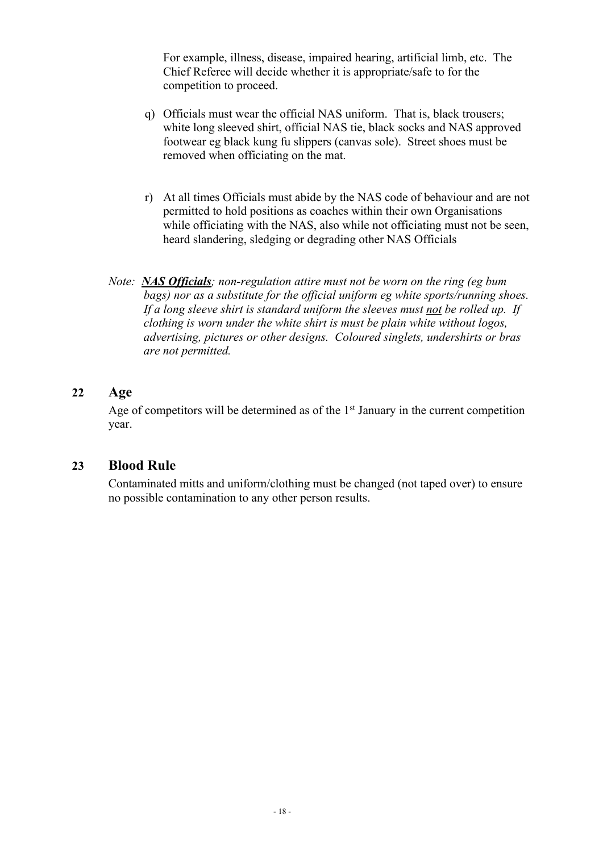For example, illness, disease, impaired hearing, artificial limb, etc. The Chief Referee will decide whether it is appropriate/safe to for the competition to proceed.

- q) Officials must wear the official NAS uniform. That is, black trousers; white long sleeved shirt, official NAS tie, black socks and NAS approved footwear eg black kung fu slippers (canvas sole). Street shoes must be removed when officiating on the mat.
- r) At all times Officials must abide by the NAS code of behaviour and are not permitted to hold positions as coaches within their own Organisations while officiating with the NAS, also while not officiating must not be seen, heard slandering, sledging or degrading other NAS Officials
- *Note: NAS Officials; non-regulation attire must not be worn on the ring (eg bum bags) nor as a substitute for the official uniform eg white sports/running shoes. If a long sleeve shirt is standard uniform the sleeves must not be rolled up. If clothing is worn under the white shirt is must be plain white without logos, advertising, pictures or other designs. Coloured singlets, undershirts or bras are not permitted.*

#### **22 Age**

Age of competitors will be determined as of the  $1<sup>st</sup>$  January in the current competition year.

#### **23 Blood Rule**

Contaminated mitts and uniform/clothing must be changed (not taped over) to ensure no possible contamination to any other person results.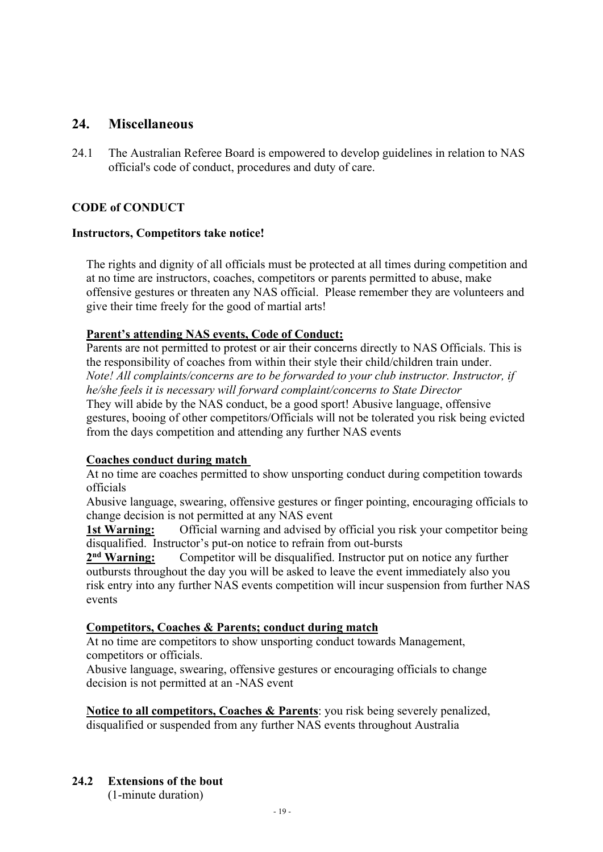#### **24. Miscellaneous**

24.1 The Australian Referee Board is empowered to develop guidelines in relation to NAS official's code of conduct, procedures and duty of care.

#### **CODE of CONDUCT**

#### **Instructors, Competitors take notice!**

The rights and dignity of all officials must be protected at all times during competition and at no time are instructors, coaches, competitors or parents permitted to abuse, make offensive gestures or threaten any NAS official. Please remember they are volunteers and give their time freely for the good of martial arts!

#### **Parent's attending NAS events, Code of Conduct:**

Parents are not permitted to protest or air their concerns directly to NAS Officials. This is the responsibility of coaches from within their style their child/children train under. *Note! All complaints/concerns are to be forwarded to your club instructor. Instructor, if he/she feels it is necessary will forward complaint/concerns to State Director* They will abide by the NAS conduct, be a good sport! Abusive language, offensive gestures, booing of other competitors/Officials will not be tolerated you risk being evicted from the days competition and attending any further NAS events

#### **Coaches conduct during match**

At no time are coaches permitted to show unsporting conduct during competition towards officials

Abusive language, swearing, offensive gestures or finger pointing, encouraging officials to change decision is not permitted at any NAS event

**1st Warning:** Official warning and advised by official you risk your competitor being disqualified. Instructor's put-on notice to refrain from out-bursts

**2nd Warning:** Competitor will be disqualified. Instructor put on notice any further outbursts throughout the day you will be asked to leave the event immediately also you risk entry into any further NAS events competition will incur suspension from further NAS events

#### **Competitors, Coaches & Parents; conduct during match**

At no time are competitors to show unsporting conduct towards Management, competitors or officials.

Abusive language, swearing, offensive gestures or encouraging officials to change decision is not permitted at an -NAS event

**Notice to all competitors, Coaches & Parents**: you risk being severely penalized, disqualified or suspended from any further NAS events throughout Australia

#### **24.2 Extensions of the bout**  (1-minute duration)